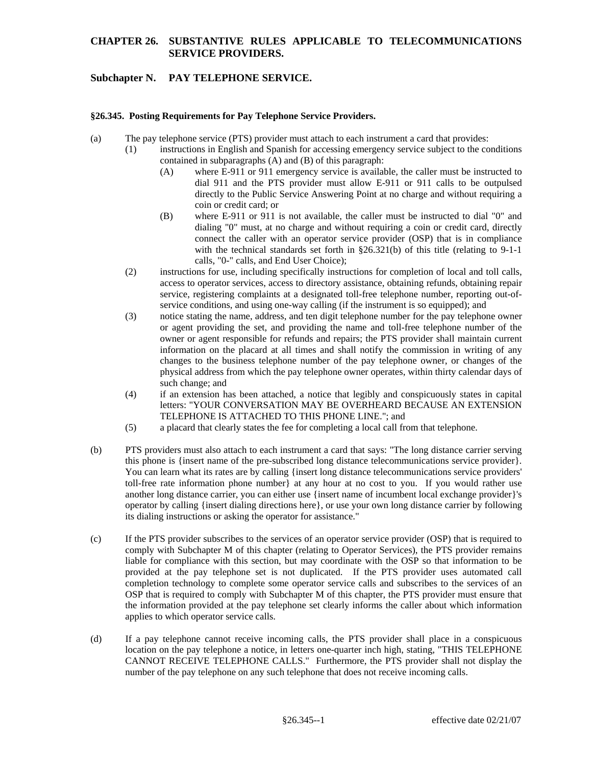#### **CHAPTER 26. SUBSTANTIVE RULES APPLICABLE TO TELECOMMUNICATIONS SERVICE PROVIDERS.**

# **Subchapter N. PAY TELEPHONE SERVICE.**

#### **§26.345. Posting Requirements for Pay Telephone Service Providers.**

- (a) The pay telephone service (PTS) provider must attach to each instrument a card that provides:
	- (1) instructions in English and Spanish for accessing emergency service subject to the conditions contained in subparagraphs (A) and (B) of this paragraph:
		- (A) where E-911 or 911 emergency service is available, the caller must be instructed to dial 911 and the PTS provider must allow E-911 or 911 calls to be outpulsed directly to the Public Service Answering Point at no charge and without requiring a coin or credit card; or
		- (B) where E-911 or 911 is not available, the caller must be instructed to dial "0" and dialing "0" must, at no charge and without requiring a coin or credit card, directly connect the caller with an operator service provider (OSP) that is in compliance with the technical standards set forth in §26.321(b) of this title (relating to 9-1-1 calls, "0-" calls, and End User Choice);
	- (2) instructions for use, including specifically instructions for completion of local and toll calls, access to operator services, access to directory assistance, obtaining refunds, obtaining repair service, registering complaints at a designated toll-free telephone number, reporting out-ofservice conditions, and using one-way calling (if the instrument is so equipped); and
	- (3) notice stating the name, address, and ten digit telephone number for the pay telephone owner or agent providing the set, and providing the name and toll-free telephone number of the owner or agent responsible for refunds and repairs; the PTS provider shall maintain current information on the placard at all times and shall notify the commission in writing of any changes to the business telephone number of the pay telephone owner, or changes of the physical address from which the pay telephone owner operates, within thirty calendar days of such change; and
	- (4) if an extension has been attached, a notice that legibly and conspicuously states in capital letters: "YOUR CONVERSATION MAY BE OVERHEARD BECAUSE AN EXTENSION TELEPHONE IS ATTACHED TO THIS PHONE LINE."; and
	- (5) a placard that clearly states the fee for completing a local call from that telephone.
- (b) PTS providers must also attach to each instrument a card that says: "The long distance carrier serving this phone is {insert name of the pre-subscribed long distance telecommunications service provider}. You can learn what its rates are by calling {insert long distance telecommunications service providers' toll-free rate information phone number} at any hour at no cost to you. If you would rather use another long distance carrier, you can either use {insert name of incumbent local exchange provider}'s operator by calling {insert dialing directions here}, or use your own long distance carrier by following its dialing instructions or asking the operator for assistance."
- (c) If the PTS provider subscribes to the services of an operator service provider (OSP) that is required to comply with Subchapter M of this chapter (relating to Operator Services), the PTS provider remains liable for compliance with this section, but may coordinate with the OSP so that information to be provided at the pay telephone set is not duplicated. If the PTS provider uses automated call completion technology to complete some operator service calls and subscribes to the services of an OSP that is required to comply with Subchapter M of this chapter, the PTS provider must ensure that the information provided at the pay telephone set clearly informs the caller about which information applies to which operator service calls.
- (d) If a pay telephone cannot receive incoming calls, the PTS provider shall place in a conspicuous location on the pay telephone a notice, in letters one-quarter inch high, stating, "THIS TELEPHONE CANNOT RECEIVE TELEPHONE CALLS." Furthermore, the PTS provider shall not display the number of the pay telephone on any such telephone that does not receive incoming calls.